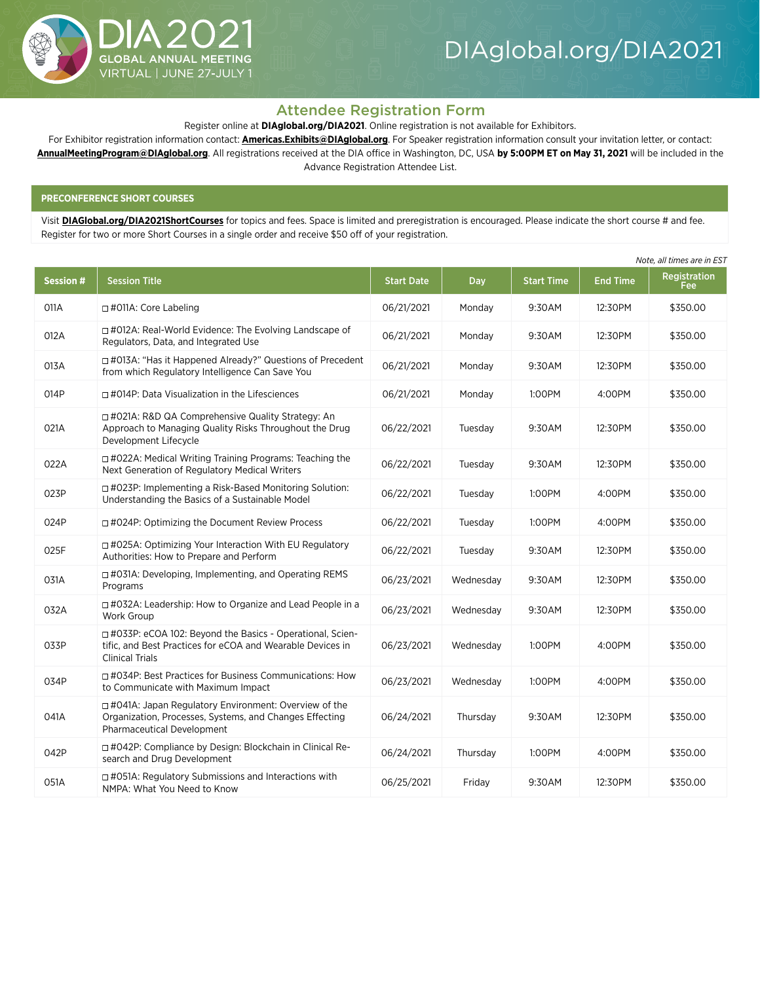

# Attendee Registration Form

Register online at **[DIAglobal.org/DIA2021](http://DIAglobal.org/DIA2021)**. Online registration is not available for Exhibitors.

For Exhibitor registration information contact: **[Americas.Exhibits@DIAglobal.org](mailto:Americas.Exhibits%40DIAglobal.org?subject=Exhibitor%20registration%20information%202021)**. For Speaker registration information consult your invitation letter, or contact: **[AnnualMeetingProgram@DIAglobal.org](mailto:AnnualMeetingProgram%40DIAglobal.org?subject=Speaker%20registration%20information%202021)**. All registrations received at the DIA office in Washington, DC, USA **by 5:00PM ET on May 31, 2021** will be included in the Advance Registration Attendee List.

# **PRECONFERENCE SHORT COURSES**

Visit **[DIAGlobal.org/DIA2021ShortCourses](http://DIAGlobal.org/DIA2021ShortCourses)** for topics and fees. Space is limited and preregistration is encouraged. Please indicate the short course # and fee. Register for two or more Short Courses in a single order and receive \$50 off of your registration.

| <b>Session#</b> | <b>Session Title</b>                                                                                                                               | <b>Start Date</b> | Day       | <b>Start Time</b> | <b>End Time</b> | Registration<br>Fee |
|-----------------|----------------------------------------------------------------------------------------------------------------------------------------------------|-------------------|-----------|-------------------|-----------------|---------------------|
| 011A            | $\Box$ #011A: Core Labeling                                                                                                                        | 06/21/2021        | Monday    | 9:30AM            | 12:30PM         | \$350.00            |
| 012A            | □ #012A: Real-World Evidence: The Evolving Landscape of<br>Regulators, Data, and Integrated Use                                                    | 06/21/2021        | Monday    | 9:30AM            | 12:30PM         | \$350.00            |
| 013A            | □ #013A: "Has it Happened Already?" Questions of Precedent<br>from which Regulatory Intelligence Can Save You                                      | 06/21/2021        | Monday    | 9:30AM            | 12:30PM         | \$350.00            |
| 014P            | $\Box$ #014P: Data Visualization in the Lifesciences                                                                                               | 06/21/2021        | Monday    | 1:00PM            | 4:00PM          | \$350.00            |
| 021A            | □ #021A: R&D QA Comprehensive Quality Strategy: An<br>Approach to Managing Quality Risks Throughout the Drug<br>Development Lifecycle              | 06/22/2021        | Tuesday   | 9:30AM            | 12:30PM         | \$350.00            |
| 022A            | □ #022A: Medical Writing Training Programs: Teaching the<br>Next Generation of Regulatory Medical Writers                                          | 06/22/2021        | Tuesday   | 9:30AM            | 12:30PM         | \$350.00            |
| 023P            | □ #023P: Implementing a Risk-Based Monitoring Solution:<br>Understanding the Basics of a Sustainable Model                                         | 06/22/2021        | Tuesday   | 1:00PM            | 4:00PM          | \$350.00            |
| 024P            | □ #024P: Optimizing the Document Review Process                                                                                                    | 06/22/2021        | Tuesday   | 1:00PM            | 4:00PM          | \$350.00            |
| 025F            | □ #025A: Optimizing Your Interaction With EU Regulatory<br>Authorities: How to Prepare and Perform                                                 | 06/22/2021        | Tuesday   | 9:30AM            | 12:30PM         | \$350.00            |
| 031A            | $\Box$ #031A: Developing, Implementing, and Operating REMS<br>Programs                                                                             | 06/23/2021        | Wednesday | 9:30AM            | 12:30PM         | \$350.00            |
| 032A            | □ #032A: Leadership: How to Organize and Lead People in a<br><b>Work Group</b>                                                                     | 06/23/2021        | Wednesday | 9:30AM            | 12:30PM         | \$350.00            |
| 033P            | □ #033P: eCOA 102: Beyond the Basics - Operational, Scien-<br>tific, and Best Practices for eCOA and Wearable Devices in<br><b>Clinical Trials</b> | 06/23/2021        | Wednesday | 1:00PM            | 4:00PM          | \$350.00            |
| 034P            | $\Box$ #034P: Best Practices for Business Communications: How<br>to Communicate with Maximum Impact                                                | 06/23/2021        | Wednesday | 1:00PM            | 4:00PM          | \$350.00            |
| 041A            | □ #041A: Japan Regulatory Environment: Overview of the<br>Organization, Processes, Systems, and Changes Effecting<br>Pharmaceutical Development    | 06/24/2021        | Thursday  | 9:30AM            | 12:30PM         | \$350.00            |
| 042P            | □ #042P: Compliance by Design: Blockchain in Clinical Re-<br>search and Drug Development                                                           | 06/24/2021        | Thursday  | 1:00PM            | 4:00PM          | \$350.00            |
| 051A            | $\Box$ #051A: Regulatory Submissions and Interactions with<br>NMPA: What You Need to Know                                                          | 06/25/2021        | Friday    | 9:30AM            | 12:30PM         | \$350.00            |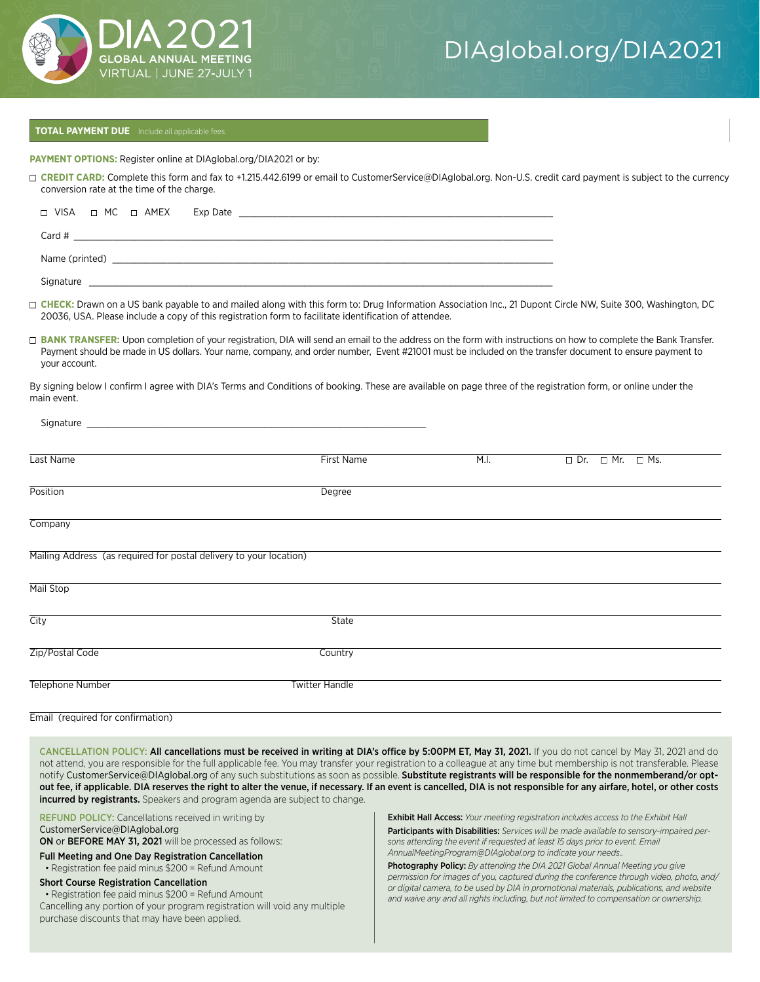

# **TOTAL PAYMENT DUE** Include all applicable fees

**PAYMENT OPTIONS:** Register online at DIAglobal.org/DIA2021 or by:

□ CREDIT CARD: Complete this form and fax to +1.215.442.6199 or email to CustomerService@DIAglobal.org. Non-U.S. credit card payment is subject to the currency conversion rate at the time of the charge.

|                |  | □ VISA □ MC □ AMEX Exp Date |  |  |  |  |
|----------------|--|-----------------------------|--|--|--|--|
|                |  |                             |  |  |  |  |
| Card #         |  |                             |  |  |  |  |
|                |  |                             |  |  |  |  |
| Name (printed) |  |                             |  |  |  |  |
|                |  |                             |  |  |  |  |

Signature

□ CHECK: Drawn on a US bank payable to and mailed along with this form to: Drug Information Association Inc., 21 Dupont Circle NW, Suite 300, Washington, DC 20036, USA. Please include a copy of this registration form to facilitate identification of attendee.

□ BANK TRANSFER: Upon completion of your registration, DIA will send an email to the address on the form with instructions on how to complete the Bank Transfer. Payment should be made in US dollars. Your name, company, and order number, Event #21001 must be included on the transfer document to ensure payment to your account.

By signing below I confirm I agree with DIA's Terms and Conditions of booking. These are available on page three of the registration form, or online under the main event.

| Signature and the state of the state of the state of the state of the state of the state of the state of the state of the state of the state of the state of the state of the state of the state of the state of the state of |                       |      |                                  |  |
|-------------------------------------------------------------------------------------------------------------------------------------------------------------------------------------------------------------------------------|-----------------------|------|----------------------------------|--|
| Last Name                                                                                                                                                                                                                     | <b>First Name</b>     | M.I. | $\Box$ Dr. $\Box$ Mr. $\Box$ Ms. |  |
| Position                                                                                                                                                                                                                      | Degree                |      |                                  |  |
| Company                                                                                                                                                                                                                       |                       |      |                                  |  |
| Mailing Address (as required for postal delivery to your location)                                                                                                                                                            |                       |      |                                  |  |
| Mail Stop                                                                                                                                                                                                                     |                       |      |                                  |  |
| City                                                                                                                                                                                                                          | <b>State</b>          |      |                                  |  |
| Zip/Postal Code                                                                                                                                                                                                               | Country               |      |                                  |  |
| Telephone Number                                                                                                                                                                                                              | <b>Twitter Handle</b> |      |                                  |  |

#### Email (required for confirmation)

CANCELLATION POLICY: All cancellations must be received in writing at DIA's office by 5:00PM ET, May 31, 2021. If you do not cancel by May 31, 2021 and do not attend, you are responsible for the full applicable fee. You may transfer your registration to a colleague at any time but membership is not transferable. Please notify CustomerService@DIAglobal.org of any such substitutions as soon as possible. Substitute registrants will be responsible for the nonmemberand/or optout fee, if applicable. DIA reserves the right to alter the venue, if necessary. If an event is cancelled, DIA is not responsible for any airfare, hotel, or other costs incurred by registrants. Speakers and program agenda are subject to change.

REFUND POLICY: Cancellations received in writing by CustomerService@DIAglobal.org

ON or BEFORE MAY 31, 2021 will be processed as follows:

Full Meeting and One Day Registration Cancellation

• Registration fee paid minus \$200 = Refund Amount

#### Short Course Registration Cancellation

• Registration fee paid minus \$200 = Refund Amount Cancelling any portion of your program registration will void any multiple purchase discounts that may have been applied.

Exhibit Hall Access: *Your meeting registration includes access to the Exhibit Hall* 

Participants with Disabilities: *Services will be made available to sensory-impaired persons attending the event if requested at least 15 days prior to event. Email AnnualMeetingProgram@DIAglobal.org to indicate your needs..*

Photography Policy: *By attending the DIA 2021 Global Annual Meeting you give permission for images of you, captured during the conference through video, photo, and/ or digital camera, to be used by DIA in promotional materials, publications, and website and waive any and all rights including, but not limited to compensation or ownership.*